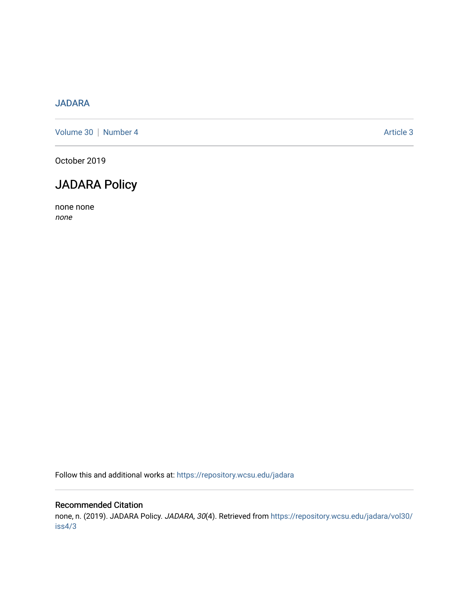### [JADARA](https://repository.wcsu.edu/jadara)

[Volume 30](https://repository.wcsu.edu/jadara/vol30) | [Number 4](https://repository.wcsu.edu/jadara/vol30/iss4) Article 3

October 2019

### JADARA Policy

none none none

Follow this and additional works at: [https://repository.wcsu.edu/jadara](https://repository.wcsu.edu/jadara?utm_source=repository.wcsu.edu%2Fjadara%2Fvol30%2Fiss4%2F3&utm_medium=PDF&utm_campaign=PDFCoverPages)

### Recommended Citation

none, n. (2019). JADARA Policy. JADARA, 30(4). Retrieved from [https://repository.wcsu.edu/jadara/vol30/](https://repository.wcsu.edu/jadara/vol30/iss4/3?utm_source=repository.wcsu.edu%2Fjadara%2Fvol30%2Fiss4%2F3&utm_medium=PDF&utm_campaign=PDFCoverPages) [iss4/3](https://repository.wcsu.edu/jadara/vol30/iss4/3?utm_source=repository.wcsu.edu%2Fjadara%2Fvol30%2Fiss4%2F3&utm_medium=PDF&utm_campaign=PDFCoverPages)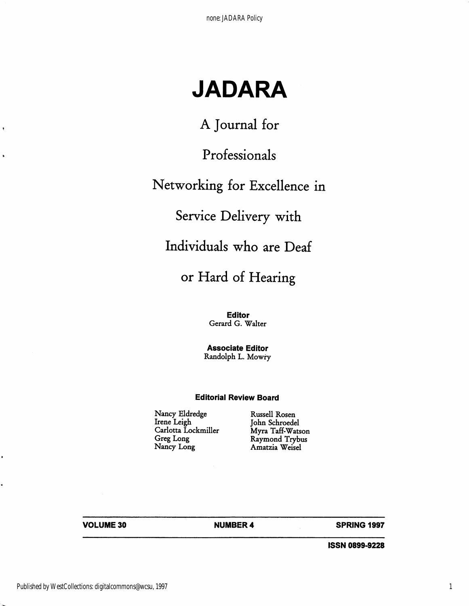# **JADARA**

A Journal for

Professionals

# Networking for Excellence in

Service Delivery with

Individuals who are Deaf

## or Hard of Hearing

**Editor**  Gerard G. Walter

**Associate Editor**  Randolph L. Mowry

### **Editorial Review Board**

Nancy Eldredge Irene Leigh Carlotta Lockmiller Greg Long

Russell Rosen John Schroedel Myra Taff-Watson Raymond Trybus Amatzia Weisel

**VOLUME30** 

**NUMBER4 SPRING 1997** 

**ISSN 0899-9228** 

 $\bullet$